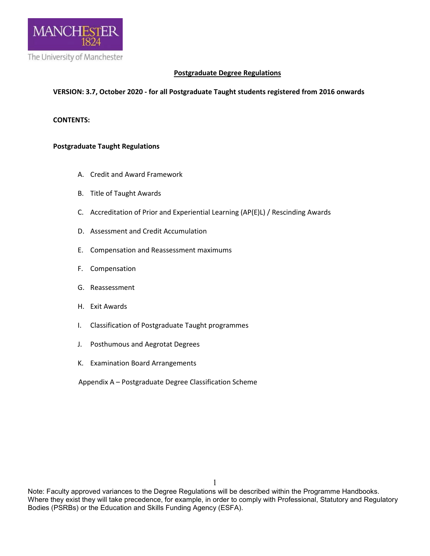

# **Postgraduate Degree Regulations**

### **VERSION: 3.7, October 2020 - for all Postgraduate Taught students registered from 2016 onwards**

### **CONTENTS:**

### **Postgraduate Taught Regulations**

- A. Credit and Award Framework
- B. Title of Taught Awards
- C. Accreditation of Prior and Experiential Learning (AP(E)L) / Rescinding Awards
- D. Assessment and Credit Accumulation
- E. Compensation and Reassessment maximums
- F. Compensation
- G. Reassessment
- H. Exit Awards
- I. Classification of Postgraduate Taught programmes
- J. Posthumous and Aegrotat Degrees
- K. Examination Board Arrangements
- Appendix A Postgraduate Degree Classification Scheme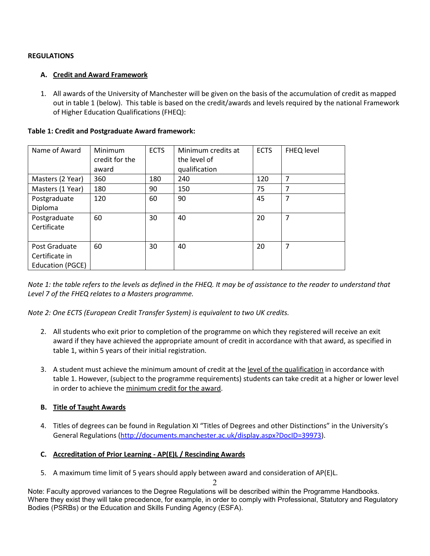# **REGULATIONS**

# **A. Credit and Award Framework**

1. All awards of the University of Manchester will be given on the basis of the accumulation of credit as mapped out in table 1 (below). This table is based on the credit/awards and levels required by the national Framework of Higher Education Qualifications (FHEQ):

| Name of Award                                       | Minimum<br>credit for the<br>award | <b>ECTS</b> | Minimum credits at<br>the level of<br>qualification | <b>ECTS</b> | FHEQ level     |
|-----------------------------------------------------|------------------------------------|-------------|-----------------------------------------------------|-------------|----------------|
| Masters (2 Year)                                    | 360                                | 180         | 240                                                 | 120         | 7              |
| Masters (1 Year)                                    | 180                                | 90          | 150                                                 | 75          | 7              |
| Postgraduate<br>Diploma                             | 120                                | 60          | 90                                                  | 45          | 7              |
| Postgraduate<br>Certificate                         | 60                                 | 30          | 40                                                  | 20          | 7              |
| Post Graduate<br>Certificate in<br>Education (PGCE) | 60                                 | 30          | 40                                                  | 20          | $\overline{7}$ |

### **Table 1: Credit and Postgraduate Award framework:**

*Note 1: the table refers to the levels as defined in the FHEQ. It may be of assistance to the reader to understand that Level 7 of the FHEQ relates to a Masters programme.*

*Note 2: One ECTS (European Credit Transfer System) is equivalent to two UK credits.*

- 2. All students who exit prior to completion of the programme on which they registered will receive an exit award if they have achieved the appropriate amount of credit in accordance with that award, as specified in table 1, within 5 years of their initial registration.
- 3. A student must achieve the minimum amount of credit at the level of the qualification in accordance with table 1. However, (subject to the programme requirements) students can take credit at a higher or lower level in order to achieve the minimum credit for the award.

# **B. Title of Taught Awards**

4. Titles of degrees can be found in Regulation XI "Titles of Degrees and other Distinctions" in the University's General Regulations [\(http://documents.manchester.ac.uk/display.aspx?DocID=39973\)](http://documents.manchester.ac.uk/display.aspx?DocID=39973).

# **C. Accreditation of Prior Learning - AP(E)L / Rescinding Awards**

5. A maximum time limit of 5 years should apply between award and consideration of AP(E)L.

 $\mathcal{D}$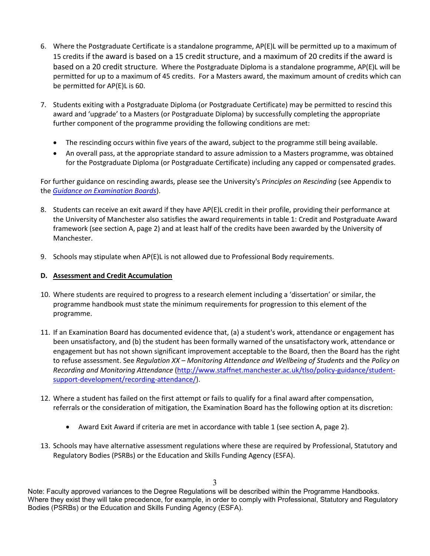- 6. Where the Postgraduate Certificate is a standalone programme, AP(E)L will be permitted up to a maximum of 15 credits if the award is based on a 15 credit structure, and a maximum of 20 credits if the award is based on a 20 credit structure. Where the Postgraduate Diploma is a standalone programme, AP(E)L will be permitted for up to a maximum of 45 credits. For a Masters award, the maximum amount of credits which can be permitted for AP(E)L is 60.
- 7. Students exiting with a Postgraduate Diploma (or Postgraduate Certificate) may be permitted to rescind this award and 'upgrade' to a Masters (or Postgraduate Diploma) by successfully completing the appropriate further component of the programme providing the following conditions are met:
	- The rescinding occurs within five years of the award, subject to the programme still being available.
	- An overall pass, at the appropriate standard to assure admission to a Masters programme, was obtained for the Postgraduate Diploma (or Postgraduate Certificate) including any capped or compensated grades.

For further guidance on rescinding awards, please see the University's *Principles on Rescinding* (see Appendix to the *[Guidance on Examination Boards](http://documents.manchester.ac.uk/display.aspx?DocID=24362)*).

- 8. Students can receive an exit award if they have AP(E)L credit in their profile, providing their performance at the University of Manchester also satisfies the award requirements in table 1: Credit and Postgraduate Award framework (see section A, page 2) and at least half of the credits have been awarded by the University of Manchester.
- 9. Schools may stipulate when AP(E)L is not allowed due to Professional Body requirements.

# **D. Assessment and Credit Accumulation**

- 10. Where students are required to progress to a research element including a 'dissertation' or similar, the programme handbook must state the minimum requirements for progression to this element of the programme.
- 11. If an Examination Board has documented evidence that, (a) a student's work, attendance or engagement has been unsatisfactory, and (b) the student has been formally warned of the unsatisfactory work, attendance or engagement but has not shown significant improvement acceptable to the Board, then the Board has the right to refuse assessment. See *Regulation XX – Monitoring Attendance and Wellbeing of Students* and the *Policy on Recording and Monitoring Attendance* [\(http://www.staffnet.manchester.ac.uk/tlso/policy-guidance/student](http://www.staffnet.manchester.ac.uk/tlso/policy-guidance/student-support-development/recording-attendance/)[support-development/recording-attendance/\)](http://www.staffnet.manchester.ac.uk/tlso/policy-guidance/student-support-development/recording-attendance/).
- 12. Where a student has failed on the first attempt or fails to qualify for a final award after compensation, referrals or the consideration of mitigation, the Examination Board has the following option at its discretion:
	- Award Exit Award if criteria are met in accordance with table 1 (see section A, page 2).
- 13. Schools may have alternative assessment regulations where these are required by Professional, Statutory and Regulatory Bodies (PSRBs) or the Education and Skills Funding Agency (ESFA).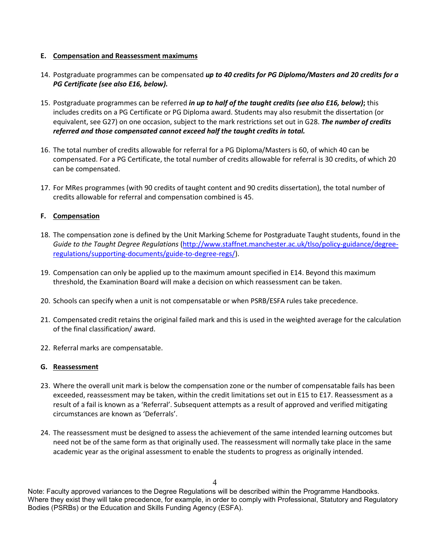### **E. Compensation and Reassessment maximums**

- 14. Postgraduate programmes can be compensated *up to 40 credits for PG Diploma/Masters and 20 credits for a PG Certificate (see also E16, below).*
- 15. Postgraduate programmes can be referred *in up to half of the taught credits (see also E16, below)***;** this includes credits on a PG Certificate or PG Diploma award. Students may also resubmit the dissertation (or equivalent, see G27) on one occasion, subject to the mark restrictions set out in G28. *The number of credits referred and those compensated cannot exceed half the taught credits in total.*
- 16. The total number of credits allowable for referral for a PG Diploma/Masters is 60, of which 40 can be compensated. For a PG Certificate, the total number of credits allowable for referral is 30 credits, of which 20 can be compensated.
- 17. For MRes programmes (with 90 credits of taught content and 90 credits dissertation), the total number of credits allowable for referral and compensation combined is 45.

### **F. Compensation**

- 18. The compensation zone is defined by the Unit Marking Scheme for Postgraduate Taught students, found in the *Guide to the Taught Degree Regulations* [\(http://www.staffnet.manchester.ac.uk/tlso/policy-guidance/degree](http://www.staffnet.manchester.ac.uk/tlso/policy-guidance/degree-regulations/supporting-documents/guide-to-degree-regs/)[regulations/supporting-documents/guide-to-degree-regs/\)](http://www.staffnet.manchester.ac.uk/tlso/policy-guidance/degree-regulations/supporting-documents/guide-to-degree-regs/).
- 19. Compensation can only be applied up to the maximum amount specified in E14. Beyond this maximum threshold, the Examination Board will make a decision on which reassessment can be taken.
- 20. Schools can specify when a unit is not compensatable or when PSRB/ESFA rules take precedence.
- 21. Compensated credit retains the original failed mark and this is used in the weighted average for the calculation of the final classification/ award.
- 22. Referral marks are compensatable.

#### **G. Reassessment**

- 23. Where the overall unit mark is below the compensation zone or the number of compensatable fails has been exceeded, reassessment may be taken, within the credit limitations set out in E15 to E17. Reassessment as a result of a fail is known as a 'Referral'. Subsequent attempts as a result of approved and verified mitigating circumstances are known as 'Deferrals'.
- 24. The reassessment must be designed to assess the achievement of the same intended learning outcomes but need not be of the same form as that originally used. The reassessment will normally take place in the same academic year as the original assessment to enable the students to progress as originally intended.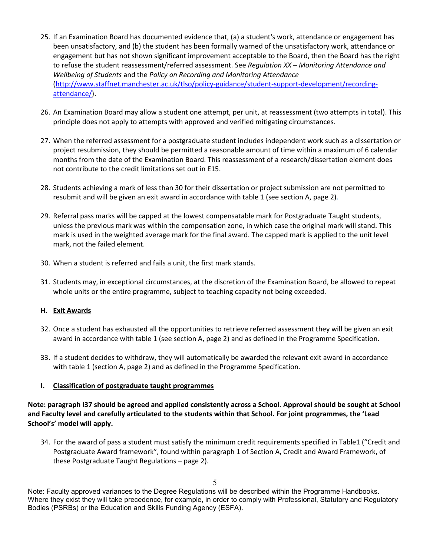- 25. If an Examination Board has documented evidence that, (a) a student's work, attendance or engagement has been unsatisfactory, and (b) the student has been formally warned of the unsatisfactory work, attendance or engagement but has not shown significant improvement acceptable to the Board, then the Board has the right to refuse the student reassessment/referred assessment. See *Regulation XX – Monitoring Attendance and Wellbeing of Students* and the *Policy on Recording and Monitoring Attendance*  [\(http://www.staffnet.manchester.ac.uk/tlso/policy-guidance/student-support-development/recording](http://www.staffnet.manchester.ac.uk/tlso/policy-guidance/student-support-development/recording-attendance/)[attendance/\)](http://www.staffnet.manchester.ac.uk/tlso/policy-guidance/student-support-development/recording-attendance/).
- 26. An Examination Board may allow a student one attempt, per unit, at reassessment (two attempts in total). This principle does not apply to attempts with approved and verified mitigating circumstances.
- 27. When the referred assessment for a postgraduate student includes independent work such as a dissertation or project resubmission, they should be permitted a reasonable amount of time within a maximum of 6 calendar months from the date of the Examination Board. This reassessment of a research/dissertation element does not contribute to the credit limitations set out in E15.
- 28. Students achieving a mark of less than 30 for their dissertation or project submission are not permitted to resubmit and will be given an exit award in accordance with table 1 (see section A, page 2).
- 29. Referral pass marks will be capped at the lowest compensatable mark for Postgraduate Taught students, unless the previous mark was within the compensation zone, in which case the original mark will stand. This mark is used in the weighted average mark for the final award. The capped mark is applied to the unit level mark, not the failed element.
- 30. When a student is referred and fails a unit, the first mark stands.
- 31. Students may, in exceptional circumstances, at the discretion of the Examination Board, be allowed to repeat whole units or the entire programme, subject to teaching capacity not being exceeded.

### **H. Exit Awards**

- 32. Once a student has exhausted all the opportunities to retrieve referred assessment they will be given an exit award in accordance with table 1 (see section A, page 2) and as defined in the Programme Specification.
- 33. If a student decides to withdraw, they will automatically be awarded the relevant exit award in accordance with table 1 (section A, page 2) and as defined in the Programme Specification.

### **I. Classification of postgraduate taught programmes**

**Note: paragraph I37 should be agreed and applied consistently across a School. Approval should be sought at School and Faculty level and carefully articulated to the students within that School. For joint programmes, the 'Lead School's' model will apply.** 

34. For the award of pass a student must satisfy the minimum credit requirements specified in Table1 ("Credit and Postgraduate Award framework", found within paragraph 1 of Section A, Credit and Award Framework, of these Postgraduate Taught Regulations – page 2).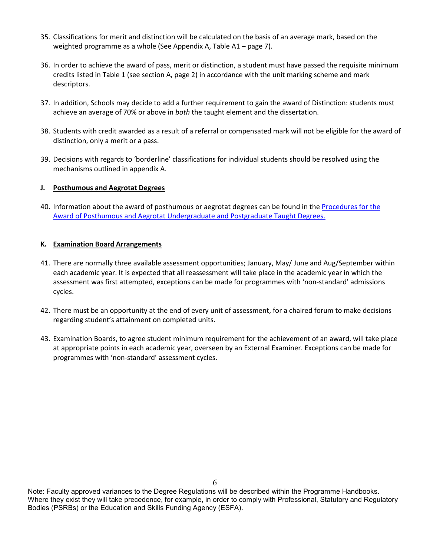- 35. Classifications for merit and distinction will be calculated on the basis of an average mark, based on the weighted programme as a whole (See Appendix A, Table A1 – page 7).
- 36. In order to achieve the award of pass, merit or distinction, a student must have passed the requisite minimum credits listed in Table 1 (see section A, page 2) in accordance with the unit marking scheme and mark descriptors.
- 37. In addition, Schools may decide to add a further requirement to gain the award of Distinction: students must achieve an average of 70% or above in *both* the taught element and the dissertation.
- 38. Students with credit awarded as a result of a referral or compensated mark will not be eligible for the award of distinction, only a merit or a pass.
- 39. Decisions with regards to 'borderline' classifications for individual students should be resolved using the mechanisms outlined in appendix A.

### **J. Posthumous and Aegrotat Degrees**

40. Information about the award of posthumous or aegrotat degrees can be found in the [Procedures for the](http://documents.manchester.ac.uk/display.aspx?DocID=51163)  [Award of Posthumous and Aegrotat Undergraduate and Postgraduate Taught Degrees.](http://documents.manchester.ac.uk/display.aspx?DocID=51163)

### **K. Examination Board Arrangements**

- 41. There are normally three available assessment opportunities; January, May/ June and Aug/September within each academic year. It is expected that all reassessment will take place in the academic year in which the assessment was first attempted, exceptions can be made for programmes with 'non-standard' admissions cycles.
- 42. There must be an opportunity at the end of every unit of assessment, for a chaired forum to make decisions regarding student's attainment on completed units.
- 43. Examination Boards, to agree student minimum requirement for the achievement of an award, will take place at appropriate points in each academic year, overseen by an External Examiner. Exceptions can be made for programmes with 'non-standard' assessment cycles.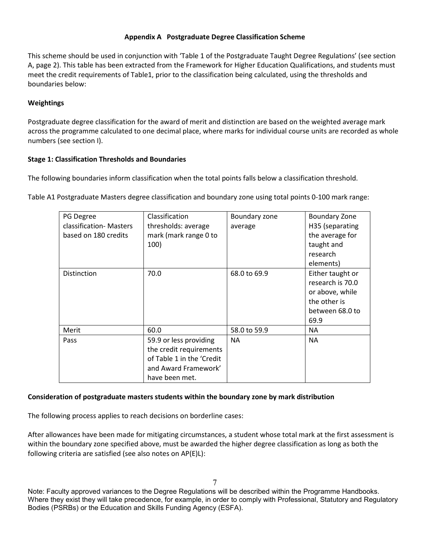### **Appendix A Postgraduate Degree Classification Scheme**

This scheme should be used in conjunction with 'Table 1 of the Postgraduate Taught Degree Regulations' (see section A, page 2). This table has been extracted from the Framework for Higher Education Qualifications, and students must meet the credit requirements of Table1, prior to the classification being calculated, using the thresholds and boundaries below:

# **Weightings**

Postgraduate degree classification for the award of merit and distinction are based on the weighted average mark across the programme calculated to one decimal place, where marks for individual course units are recorded as whole numbers (see section I).

## **Stage 1: Classification Thresholds and Boundaries**

The following boundaries inform classification when the total points falls below a classification threshold.

Table A1 Postgraduate Masters degree classification and boundary zone using total points 0-100 mark range:

| PG Degree<br>classification-Masters<br>based on 180 credits | Classification<br>thresholds: average<br>mark (mark range 0 to<br>100)                                                   | Boundary zone<br>average | <b>Boundary Zone</b><br>H35 (separating<br>the average for<br>taught and<br>research<br>elements)  |
|-------------------------------------------------------------|--------------------------------------------------------------------------------------------------------------------------|--------------------------|----------------------------------------------------------------------------------------------------|
| Distinction                                                 | 70.0                                                                                                                     | 68.0 to 69.9             | Either taught or<br>research is 70.0<br>or above, while<br>the other is<br>between 68.0 to<br>69.9 |
| Merit                                                       | 60.0                                                                                                                     | 58.0 to 59.9             | <b>NA</b>                                                                                          |
| Pass                                                        | 59.9 or less providing<br>the credit requirements<br>of Table 1 in the 'Credit<br>and Award Framework'<br>have been met. | <b>NA</b>                | <b>NA</b>                                                                                          |

### **Consideration of postgraduate masters students within the boundary zone by mark distribution**

The following process applies to reach decisions on borderline cases:

After allowances have been made for mitigating circumstances, a student whose total mark at the first assessment is within the boundary zone specified above, must be awarded the higher degree classification as long as both the following criteria are satisfied (see also notes on AP(E)L):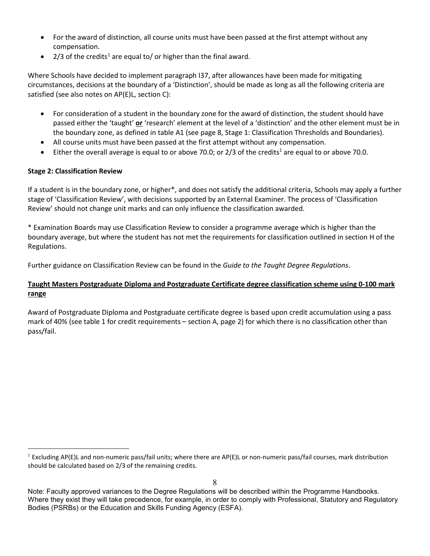- For the award of distinction, all course units must have been passed at the first attempt without any compensation.
- 2/3 of the credits<sup>1</sup> are equal to/ or higher than the final award.

Where Schools have decided to implement paragraph I37, after allowances have been made for mitigating circumstances, decisions at the boundary of a 'Distinction', should be made as long as all the following criteria are satisfied (see also notes on AP(E)L, section C):

- For consideration of a student in the boundary zone for the award of distinction, the student should have passed either the 'taught' **or** 'research' element at the level of a 'distinction' and the other element must be in the boundary zone, as defined in table A1 (see page 8, Stage 1: Classification Thresholds and Boundaries).
- All course units must have been passed at the first attempt without any compensation.
- Either the overall average is equal to or above 70.0; or  $2/3$  of the credits<sup>1</sup> are equal to or above 70.0.

## **Stage 2: Classification Review**

If a student is in the boundary zone, or higher\*, and does not satisfy the additional criteria, Schools may apply a further stage of 'Classification Review', with decisions supported by an External Examiner. The process of 'Classification Review' should not change unit marks and can only influence the classification awarded.

\* Examination Boards may use Classification Review to consider a programme average which is higher than the boundary average, but where the student has not met the requirements for classification outlined in section H of the Regulations.

Further guidance on Classification Review can be found in the *[Guide to the Taught Degree Regulations](http://www.tlso.manchester.ac.uk/degree-regulations/guidetothetaughtdegreeregulations/)*.

# **Taught Masters Postgraduate Diploma and Postgraduate Certificate degree classification scheme using 0-100 mark range**

Award of Postgraduate Diploma and Postgraduate certificate degree is based upon credit accumulation using a pass mark of 40% (see table 1 for credit requirements – section A, page 2) for which there is no classification other than pass/fail.

<span id="page-7-0"></span><sup>&</sup>lt;sup>1</sup> Excluding AP(E)L and non-numeric pass/fail units; where there are AP(E)L or non-numeric pass/fail courses, mark distribution should be calculated based on 2/3 of the remaining credits.

Note: Faculty approved variances to the Degree Regulations will be described within the Programme Handbooks. Where they exist they will take precedence, for example, in order to comply with Professional, Statutory and Regulatory Bodies (PSRBs) or the Education and Skills Funding Agency (ESFA).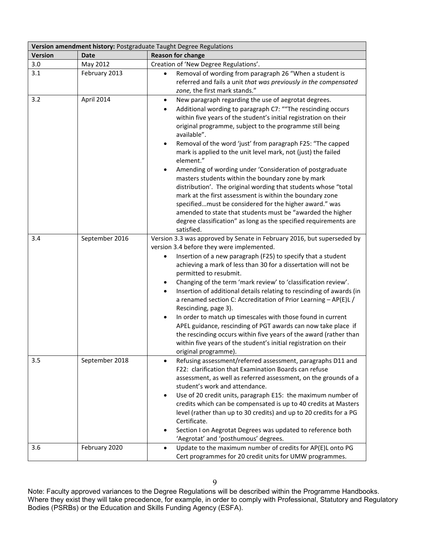| Version amendment history: Postgraduate Taught Degree Regulations |                |                                                                                                                                                                                                                                                                                                                                                                                                                                                                                                                                                                                                                                                                                                                                                                                                                        |  |  |
|-------------------------------------------------------------------|----------------|------------------------------------------------------------------------------------------------------------------------------------------------------------------------------------------------------------------------------------------------------------------------------------------------------------------------------------------------------------------------------------------------------------------------------------------------------------------------------------------------------------------------------------------------------------------------------------------------------------------------------------------------------------------------------------------------------------------------------------------------------------------------------------------------------------------------|--|--|
| <b>Version</b>                                                    | <b>Date</b>    | <b>Reason for change</b>                                                                                                                                                                                                                                                                                                                                                                                                                                                                                                                                                                                                                                                                                                                                                                                               |  |  |
| 3.0                                                               | May 2012       | Creation of 'New Degree Regulations'.                                                                                                                                                                                                                                                                                                                                                                                                                                                                                                                                                                                                                                                                                                                                                                                  |  |  |
| 3.1                                                               | February 2013  | Removal of wording from paragraph 26 "When a student is<br>$\bullet$<br>referred and fails a unit that was previously in the compensated<br>zone, the first mark stands."                                                                                                                                                                                                                                                                                                                                                                                                                                                                                                                                                                                                                                              |  |  |
| 3.2                                                               | April 2014     | New paragraph regarding the use of aegrotat degrees.<br>$\bullet$<br>Additional wording to paragraph C7: ""The rescinding occurs<br>٠<br>within five years of the student's initial registration on their<br>original programme, subject to the programme still being<br>available".<br>Removal of the word 'just' from paragraph F25: "The capped<br>mark is applied to the unit level mark, not (just) the failed<br>element."<br>Amending of wording under 'Consideration of postgraduate<br>masters students within the boundary zone by mark<br>distribution'. The original wording that students whose "total<br>mark at the first assessment is within the boundary zone<br>specifiedmust be considered for the higher award." was                                                                              |  |  |
|                                                                   |                | amended to state that students must be "awarded the higher<br>degree classification" as long as the specified requirements are<br>satisfied.                                                                                                                                                                                                                                                                                                                                                                                                                                                                                                                                                                                                                                                                           |  |  |
| 3.4                                                               | September 2016 | Version 3.3 was approved by Senate in February 2016, but superseded by<br>version 3.4 before they were implemented.<br>Insertion of a new paragraph (F25) to specify that a student<br>achieving a mark of less than 30 for a dissertation will not be<br>permitted to resubmit.<br>Changing of the term 'mark review' to 'classification review'.<br>Insertion of additional details relating to rescinding of awards (in<br>a renamed section C: Accreditation of Prior Learning - AP(E)L /<br>Rescinding, page 3).<br>In order to match up timescales with those found in current<br>APEL guidance, rescinding of PGT awards can now take place if<br>the rescinding occurs within five years of the award (rather than<br>within five years of the student's initial registration on their<br>original programme). |  |  |
| 3.5                                                               | September 2018 | Refusing assessment/referred assessment, paragraphs D11 and<br>F22: clarification that Examination Boards can refuse<br>assessment, as well as referred assessment, on the grounds of a<br>student's work and attendance.<br>Use of 20 credit units, paragraph E15: the maximum number of<br>$\bullet$<br>credits which can be compensated is up to 40 credits at Masters<br>level (rather than up to 30 credits) and up to 20 credits for a PG<br>Certificate.<br>Section I on Aegrotat Degrees was updated to reference both<br>'Aegrotat' and 'posthumous' degrees.                                                                                                                                                                                                                                                 |  |  |
| 3.6                                                               | February 2020  | Update to the maximum number of credits for AP(E)L onto PG<br>$\bullet$<br>Cert programmes for 20 credit units for UMW programmes.                                                                                                                                                                                                                                                                                                                                                                                                                                                                                                                                                                                                                                                                                     |  |  |